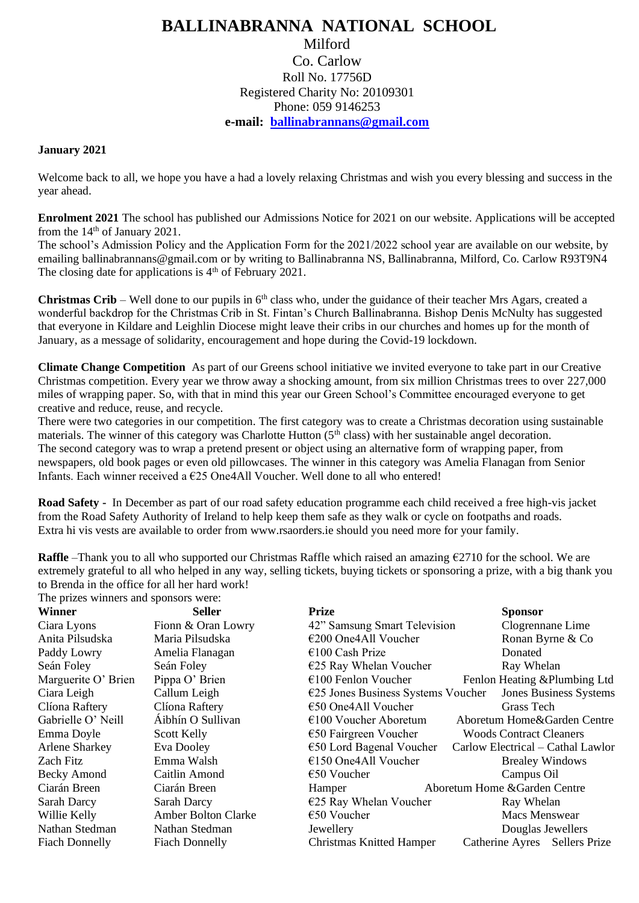## **BALLINABRANNA NATIONAL SCHOOL** Milford Co. Carlow Roll No. 17756D Registered Charity No: 20109301 Phone: 059 9146253 **e-mail: [ballinabrannans@gmail.com](mailto:ballinabrannans@gmail.com)**

## **January 2021**

Welcome back to all, we hope you have a had a lovely relaxing Christmas and wish you every blessing and success in the year ahead.

**Enrolment 2021** The school has published our Admissions Notice for 2021 on our website. Applications will be accepted from the  $14<sup>th</sup>$  of January 2021.

The school's Admission Policy and the Application Form for the 2021/2022 school year are available on our website, by emailing ballinabrannans@gmail.com or by writing to Ballinabranna NS, Ballinabranna, Milford, Co. Carlow R93T9N4 The closing date for applications is  $4<sup>th</sup>$  of February 2021.

**Christmas Crib** – Well done to our pupils in  $6<sup>th</sup>$  class who, under the guidance of their teacher Mrs Agars, created a wonderful backdrop for the Christmas Crib in St. Fintan's Church Ballinabranna. Bishop Denis McNulty has suggested that everyone in Kildare and Leighlin Diocese might leave their cribs in our churches and homes up for the month of January, as a message of solidarity, encouragement and hope during the Covid-19 lockdown.

**Climate Change Competition** As part of our Greens school initiative we invited everyone to take part in our Creative Christmas competition. Every year we throw away a shocking amount, from six million Christmas trees to over 227,000 miles of wrapping paper. So, with that in mind this year our Green School's Committee encouraged everyone to get creative and reduce, reuse, and recycle.

There were two categories in our competition. The first category was to create a Christmas decoration using sustainable materials. The winner of this category was Charlotte Hutton (5<sup>th</sup> class) with her sustainable angel decoration. The second category was to wrap a pretend present or object using an alternative form of wrapping paper, from newspapers, old book pages or even old pillowcases. The winner in this category was Amelia Flanagan from Senior Infants. Each winner received a  $E25$  One4All Voucher. Well done to all who entered!

**Road Safety -** In December as part of our road safety education programme each child received a free high-vis jacket from the Road Safety Authority of Ireland to help keep them safe as they walk or cycle on footpaths and roads. Extra hi vis vests are available to order from www.rsaorders.ie should you need more for your family.

**Raffle** –Thank you to all who supported our Christmas Raffle which raised an amazing €2710 for the school. We are extremely grateful to all who helped in any way, selling tickets, buying tickets or sponsoring a prize, with a big thank you to Brenda in the office for all her hard work!

| The prizes winners and sponsors were: |                            |                                      |                                   |  |
|---------------------------------------|----------------------------|--------------------------------------|-----------------------------------|--|
| Winner                                | <b>Seller</b>              | <b>Prize</b>                         | <b>Sponsor</b>                    |  |
| Ciara Lyons                           | Fionn & Oran Lowry         | 42" Samsung Smart Television         | Clogrennane Lime                  |  |
| Anita Pilsudska                       | Maria Pilsudska            | €200 One4All Voucher                 | Ronan Byrne & Co                  |  |
| Paddy Lowry                           | Amelia Flanagan            | $\epsilon$ 100 Cash Prize            | Donated                           |  |
| Seán Foley                            | Seán Foley                 | $E$ 25 Ray Whelan Voucher            | Ray Whelan                        |  |
| Marguerite O' Brien                   | Pippa O' Brien             | $\epsilon$ 100 Fenlon Voucher        | Fenlon Heating & Plumbing Ltd     |  |
| Ciara Leigh                           | Callum Leigh               | $E25$ Jones Business Systems Voucher | <b>Jones Business Systems</b>     |  |
| Clíona Raftery                        | Clíona Raftery             | $\epsilon$ 50 One4All Voucher        | Grass Tech                        |  |
| Gabrielle O' Neill                    | Áibhín O Sullivan          | $\epsilon$ 100 Voucher Aboretum      | Aboretum Home&Garden Centre       |  |
| Emma Doyle                            | Scott Kelly                | $\epsilon$ 50 Fairgreen Voucher      | <b>Woods Contract Cleaners</b>    |  |
| <b>Arlene Sharkey</b>                 | Eva Dooley                 | $\epsilon$ 50 Lord Bagenal Voucher   | Carlow Electrical – Cathal Lawlor |  |
| Zach Fitz                             | Emma Walsh                 | $€150$ One4All Voucher               | <b>Brealey Windows</b>            |  |
| Becky Amond                           | Caitlin Amond              | $\epsilon$ 50 Voucher                | Campus Oil                        |  |
| Ciarán Breen                          | Ciarán Breen               | Hamper                               | Aboretum Home & Garden Centre     |  |
| Sarah Darcy                           | Sarah Darcy                | $E$ 25 Ray Whelan Voucher            | Ray Whelan                        |  |
| Willie Kelly                          | <b>Amber Bolton Clarke</b> | $\epsilon$ 50 Voucher                | <b>Macs Menswear</b>              |  |
| Nathan Stedman                        | Nathan Stedman             | Jewellery                            | Douglas Jewellers                 |  |
| <b>Fiach Donnelly</b>                 | <b>Fiach Donnelly</b>      | Christmas Knitted Hamper             | Catherine Ayres Sellers Prize     |  |